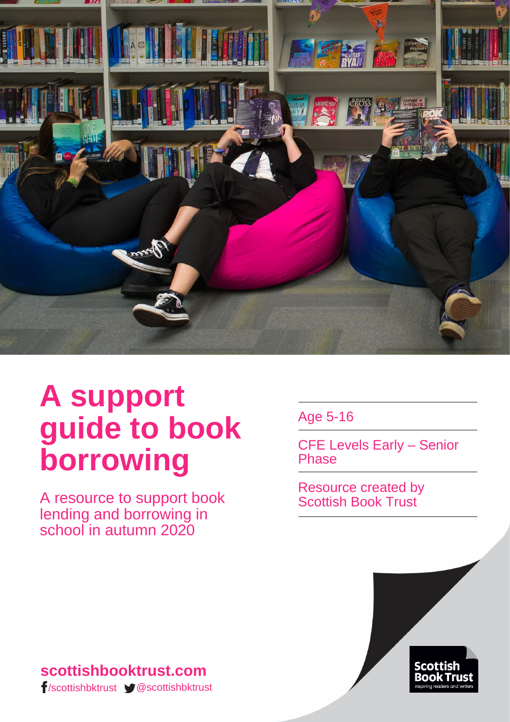

# **A support guide to book borrowing**

A resource to support book lending and borrowing in school in autumn 2020

Age 5-16

CFE Levels Early – Senior Phase

Resource created by Scottish Book Trust



#### **scottishbooktrust.com** /scottishbktrust @scottishbktrust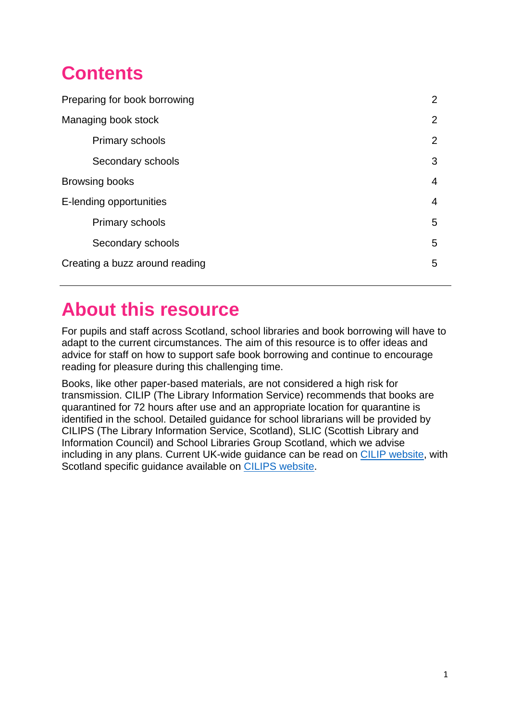# **Contents**

| Preparing for book borrowing   | $\overline{2}$ |
|--------------------------------|----------------|
| Managing book stock            | $\overline{2}$ |
| <b>Primary schools</b>         | 2              |
| Secondary schools              | 3              |
| Browsing books                 | 4              |
| E-lending opportunities        | 4              |
| Primary schools                | 5              |
| Secondary schools              | 5              |
| Creating a buzz around reading | 5              |
|                                |                |

### **About this resource**

For pupils and staff across Scotland, school libraries and book borrowing will have to adapt to the current circumstances. The aim of this resource is to offer ideas and advice for staff on how to support safe book borrowing and continue to encourage reading for pleasure during this challenging time.

Books, like other paper-based materials, are not considered a high risk for transmission. CILIP (The Library Information Service) recommends that books are quarantined for 72 hours after use and an appropriate location for quarantine is identified in the school. Detailed guidance for school librarians will be provided by CILIPS (The Library Information Service, Scotland), SLIC (Scottish Library and Information Council) and School Libraries Group Scotland, which we advise including in any plans. Current UK-wide guidance can be read on [CILIP website,](https://www.cilip.org.uk/news/506793/COVID-19-Guidance-for-School-Libraries.htm) with Scotland specific guidance available on [CILIPS website.](https://www.cilips.org.uk/covid-19-resources/)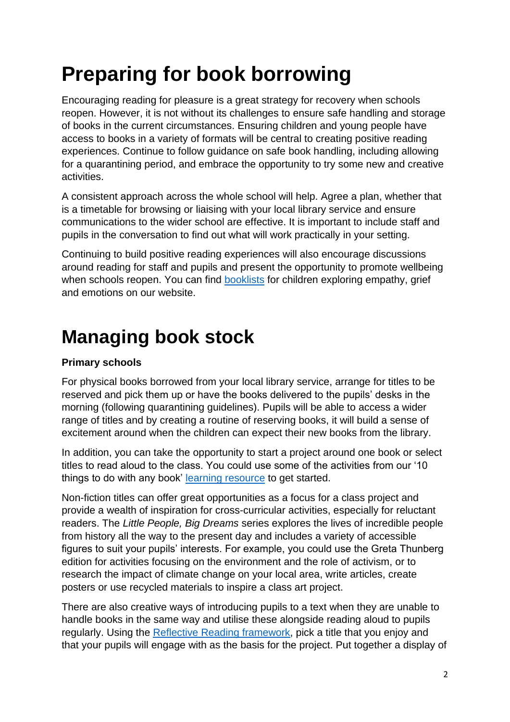# **Preparing for book borrowing**

Encouraging reading for pleasure is a great strategy for recovery when schools reopen. However, it is not without its challenges to ensure safe handling and storage of books in the current circumstances. Ensuring children and young people have access to books in a variety of formats will be central to creating positive reading experiences. Continue to follow guidance on safe book handling, including allowing for a quarantining period, and embrace the opportunity to try some new and creative activities.

A consistent approach across the whole school will help. Agree a plan, whether that is a timetable for browsing or liaising with your local library service and ensure communications to the wider school are effective. It is important to include staff and pupils in the conversation to find out what will work practically in your setting.

Continuing to build positive reading experiences will also encourage discussions around reading for staff and pupils and present the opportunity to promote wellbeing when schools reopen. You can find [booklists](https://www.scottishbooktrust.com/book-lists) for children exploring empathy, grief and emotions on our website.

# **Managing book stock**

#### **Primary schools**

For physical books borrowed from your local library service, arrange for titles to be reserved and pick them up or have the books delivered to the pupils' desks in the morning (following quarantining guidelines). Pupils will be able to access a wider range of titles and by creating a routine of reserving books, it will build a sense of excitement around when the children can expect their new books from the library.

In addition, you can take the opportunity to start a project around one book or select titles to read aloud to the class. You could use some of the activities from our '10 things to do with any book' [learning resource](https://www.scottishbooktrust.com/learning-resources/10-great-activities-to-do-with-any-book) to get started.

Non-fiction titles can offer great opportunities as a focus for a class project and provide a wealth of inspiration for cross-curricular activities, especially for reluctant readers. The *Little People, Big Dreams* series explores the lives of incredible people from history all the way to the present day and includes a variety of accessible figures to suit your pupils' interests. For example, you could use the Greta Thunberg edition for activities focusing on the environment and the role of activism, or to research the impact of climate change on your local area, write articles, create posters or use recycled materials to inspire a class art project.

There are also creative ways of introducing pupils to a text when they are unable to handle books in the same way and utilise these alongside reading aloud to pupils regularly. Using the [Reflective Reading framework,](https://www.thelearningzoo.co.uk/reflective-reading/) pick a title that you enjoy and that your pupils will engage with as the basis for the project. Put together a display of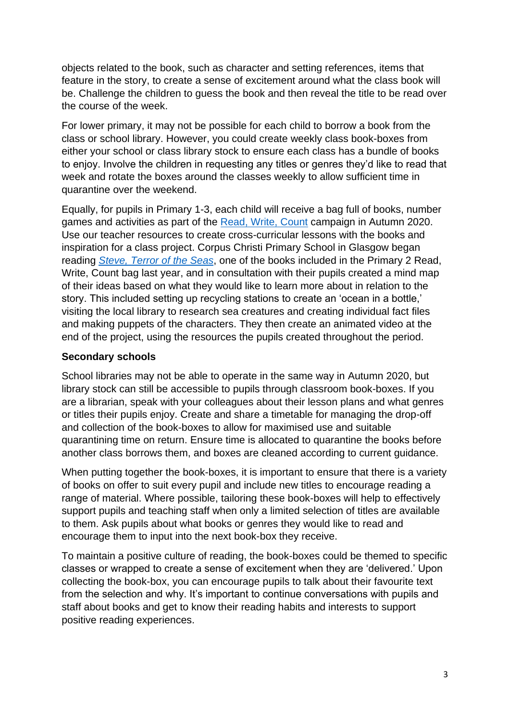objects related to the book, such as character and setting references, items that feature in the story, to create a sense of excitement around what the class book will be. Challenge the children to guess the book and then reveal the title to be read over the course of the week.

For lower primary, it may not be possible for each child to borrow a book from the class or school library. However, you could create weekly class book-boxes from either your school or class library stock to ensure each class has a bundle of books to enjoy. Involve the children in requesting any titles or genres they'd like to read that week and rotate the boxes around the classes weekly to allow sufficient time in quarantine over the weekend.

Equally, for pupils in Primary 1-3, each child will receive a bag full of books, number games and activities as part of the [Read, Write, Count](https://www.scottishbooktrust.com/topics/read-write-count) campaign in Autumn 2020. Use our teacher resources to create cross-curricular lessons with the books and inspiration for a class project. Corpus Christi Primary School in Glasgow began reading *[Steve, Terror of the Seas](https://www.scottishbooktrust.com/learning-resources/read-write-count-for-p2)*, one of the books included in the Primary 2 Read, Write, Count bag last year, and in consultation with their pupils created a mind map of their ideas based on what they would like to learn more about in relation to the story. This included setting up recycling stations to create an 'ocean in a bottle,' visiting the local library to research sea creatures and creating individual fact files and making puppets of the characters. They then create an animated video at the end of the project, using the resources the pupils created throughout the period.

#### **Secondary schools**

School libraries may not be able to operate in the same way in Autumn 2020, but library stock can still be accessible to pupils through classroom book-boxes. If you are a librarian, speak with your colleagues about their lesson plans and what genres or titles their pupils enjoy. Create and share a timetable for managing the drop-off and collection of the book-boxes to allow for maximised use and suitable quarantining time on return. Ensure time is allocated to quarantine the books before another class borrows them, and boxes are cleaned according to current guidance.

When putting together the book-boxes, it is important to ensure that there is a variety of books on offer to suit every pupil and include new titles to encourage reading a range of material. Where possible, tailoring these book-boxes will help to effectively support pupils and teaching staff when only a limited selection of titles are available to them. Ask pupils about what books or genres they would like to read and encourage them to input into the next book-box they receive.

To maintain a positive culture of reading, the book-boxes could be themed to specific classes or wrapped to create a sense of excitement when they are 'delivered.' Upon collecting the book-box, you can encourage pupils to talk about their favourite text from the selection and why. It's important to continue conversations with pupils and staff about books and get to know their reading habits and interests to support positive reading experiences.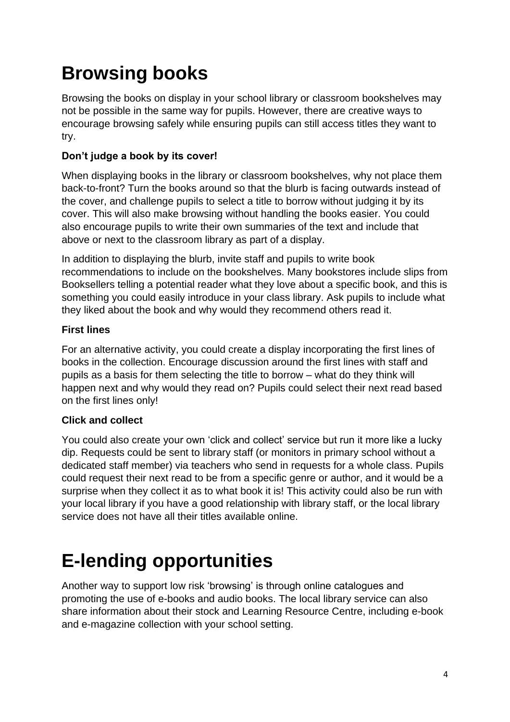# **Browsing books**

Browsing the books on display in your school library or classroom bookshelves may not be possible in the same way for pupils. However, there are creative ways to encourage browsing safely while ensuring pupils can still access titles they want to try.

#### **Don't judge a book by its cover!**

When displaying books in the library or classroom bookshelves, why not place them back-to-front? Turn the books around so that the blurb is facing outwards instead of the cover, and challenge pupils to select a title to borrow without judging it by its cover. This will also make browsing without handling the books easier. You could also encourage pupils to write their own summaries of the text and include that above or next to the classroom library as part of a display.

In addition to displaying the blurb, invite staff and pupils to write book recommendations to include on the bookshelves. Many bookstores include slips from Booksellers telling a potential reader what they love about a specific book, and this is something you could easily introduce in your class library. Ask pupils to include what they liked about the book and why would they recommend others read it.

#### **First lines**

For an alternative activity, you could create a display incorporating the first lines of books in the collection. Encourage discussion around the first lines with staff and pupils as a basis for them selecting the title to borrow – what do they think will happen next and why would they read on? Pupils could select their next read based on the first lines only!

#### **Click and collect**

You could also create your own 'click and collect' service but run it more like a lucky dip. Requests could be sent to library staff (or monitors in primary school without a dedicated staff member) via teachers who send in requests for a whole class. Pupils could request their next read to be from a specific genre or author, and it would be a surprise when they collect it as to what book it is! This activity could also be run with your local library if you have a good relationship with library staff, or the local library service does not have all their titles available online.

# **E-lending opportunities**

Another way to support low risk 'browsing' is through online catalogues and promoting the use of e-books and audio books. The local library service can also share information about their stock and Learning Resource Centre, including e-book and e-magazine collection with your school setting.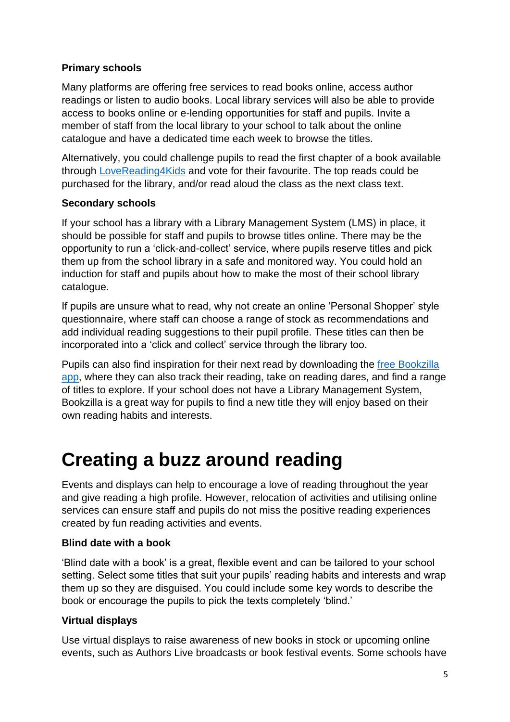#### **Primary schools**

Many platforms are offering free services to read books online, access author readings or listen to audio books. Local library services will also be able to provide access to books online or e-lending opportunities for staff and pupils. Invite a member of staff from the local library to your school to talk about the online catalogue and have a dedicated time each week to browse the titles.

Alternatively, you could challenge pupils to read the first chapter of a book available through [LoveReading4Kids](https://www.lovereading4kids.co.uk/) and vote for their favourite. The top reads could be purchased for the library, and/or read aloud the class as the next class text.

#### **Secondary schools**

If your school has a library with a Library Management System (LMS) in place, it should be possible for staff and pupils to browse titles online. There may be the opportunity to run a 'click-and-collect' service, where pupils reserve titles and pick them up from the school library in a safe and monitored way. You could hold an induction for staff and pupils about how to make the most of their school library catalogue.

If pupils are unsure what to read, why not create an online 'Personal Shopper' style questionnaire, where staff can choose a range of stock as recommendations and add individual reading suggestions to their pupil profile. These titles can then be incorporated into a 'click and collect' service through the library too.

Pupils can also find inspiration for their next read by downloading the [free Bookzilla](https://www.scottishbooktrust.com/reading-and-stories/bookzilla)  [app,](https://www.scottishbooktrust.com/reading-and-stories/bookzilla) where they can also track their reading, take on reading dares, and find a range of titles to explore. If your school does not have a Library Management System, Bookzilla is a great way for pupils to find a new title they will enjoy based on their own reading habits and interests.

### **Creating a buzz around reading**

Events and displays can help to encourage a love of reading throughout the year and give reading a high profile. However, relocation of activities and utilising online services can ensure staff and pupils do not miss the positive reading experiences created by fun reading activities and events.

#### **Blind date with a book**

'Blind date with a book' is a great, flexible event and can be tailored to your school setting. Select some titles that suit your pupils' reading habits and interests and wrap them up so they are disguised. You could include some key words to describe the book or encourage the pupils to pick the texts completely 'blind.'

#### **Virtual displays**

Use virtual displays to raise awareness of new books in stock or upcoming online events, such as Authors Live broadcasts or book festival events. Some schools have